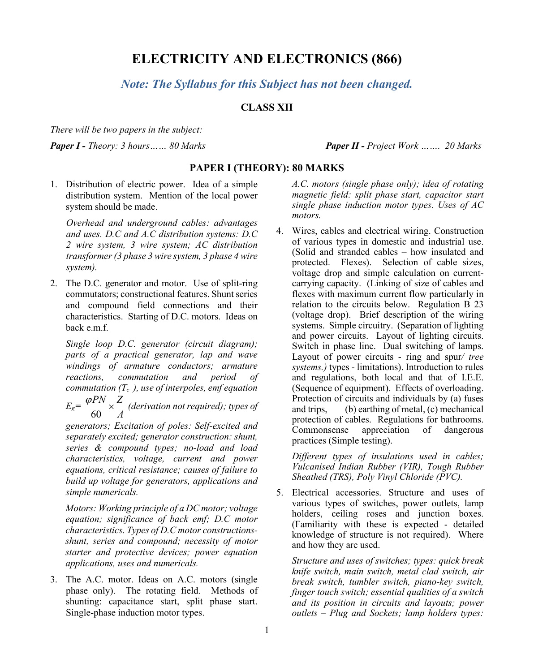# **ELECTRICITY AND ELECTRONICS (866)**

*Note: The Syllabus for this Subject has not been changed.*

## **CLASS XII**

*There will be two papers in the subject:*

*Paper I - Theory: 3 hours…… 80 Marks Paper II - Project Work ……. 20 Marks*

## **PAPER I (THEORY): 80 MARKS**

1. Distribution of electric power. Idea of a simple distribution system. Mention of the local power system should be made.

*Overhead and underground cables: advantages and uses. D.C and A.C distribution systems: D.C 2 wire system, 3 wire system; AC distribution transformer(3 phase 3 wire system, 3 phase 4 wire system).*

2. The D.C. generator and motor. Use of split-ring commutators; constructional features. Shunt series and compound field connections and their characteristics. Starting of D.C. motors. Ideas on back e.m.f.

*Single loop D.C. generator (circuit diagram); parts of a practical generator, lap and wave windings of armature conductors; armature reactions, commutation and period of commutation (Tc ), use of interpoles, emf equation Eg=*  60 *PN Z A*  $\frac{\varphi P N}{\sqrt{2}} \times \frac{Z}{Z}$  (derivation not required); types of

*generators; Excitation of poles: Self-excited and separately excited; generator construction: shunt, series & compound types; no-load and load characteristics, voltage, current and power equations, critical resistance; causes of failure to build up voltage for generators, applications and simple numericals.*

*Motors: Working principle of a DC motor; voltage equation; significance of back emf; D.C motor characteristics. Types of D.C motor constructionsshunt, series and compound; necessity of motor starter and protective devices; power equation applications, uses and numericals.*

3. The A.C. motor. Ideas on A.C. motors (single phase only). The rotating field. Methods of shunting: capacitance start, split phase start. Single-phase induction motor types.

*A.C. motors (single phase only); idea of rotating magnetic field: split phase start, capacitor start single phase induction motor types. Uses of AC motors.*

4. Wires, cables and electrical wiring. Construction of various types in domestic and industrial use. (Solid and stranded cables – how insulated and protected. Flexes). Selection of cable sizes, voltage drop and simple calculation on currentcarrying capacity. (Linking of size of cables and flexes with maximum current flow particularly in relation to the circuits below. Regulation B 23 (voltage drop). Brief description of the wiring systems. Simple circuitry. (Separation of lighting and power circuits. Layout of lighting circuits. Switch in phase line. Dual switching of lamps. Layout of power circuits - ring and spur*/ tree systems.)* types - limitations). Introduction to rules and regulations, both local and that of I.E.E. (Sequence of equipment). Effects of overloading. Protection of circuits and individuals by (a) fuses and trips, (b) earthing of metal, (c) mechanical protection of cables. Regulations for bathrooms. Commonsense appreciation of dangerous practices (Simple testing).

*Different types of insulations used in cables; Vulcanised Indian Rubber (VIR), Tough Rubber Sheathed (TRS), Poly Vinyl Chloride (PVC).*

5. Electrical accessories. Structure and uses of various types of switches, power outlets, lamp holders, ceiling roses and junction boxes. (Familiarity with these is expected - detailed knowledge of structure is not required). Where and how they are used.

*Structure and uses of switches; types: quick break knife switch, main switch, metal clad switch, air break switch, tumbler switch, piano-key switch, finger touch switch; essential qualities of a switch and its position in circuits and layouts; power outlets – Plug and Sockets; lamp holders types:*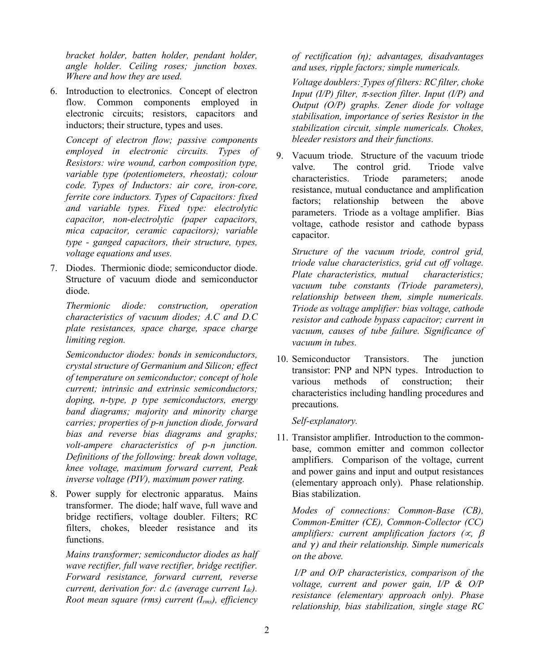*bracket holder, batten holder, pendant holder, angle holder. Ceiling roses; junction boxes. Where and how they are used.*

6. Introduction to electronics. Concept of electron flow. Common components employed in electronic circuits; resistors, capacitors and inductors; their structure, types and uses.

*Concept of electron flow; passive components employed in electronic circuits. Types of Resistors: wire wound, carbon composition type, variable type (potentiometers, rheostat); colour code. Types of Inductors: air core, iron-core, ferrite core inductors. Types of Capacitors: fixed and variable types. Fixed type: electrolytic capacitor, non-electrolytic (paper capacitors, mica capacitor, ceramic capacitors); variable type - ganged capacitors, their structure, types, voltage equations and uses.*

7. Diodes. Thermionic diode; semiconductor diode. Structure of vacuum diode and semiconductor diode.

*Thermionic diode: construction, operation characteristics of vacuum diodes; A.C and D.C plate resistances, space charge, space charge limiting region.*

*Semiconductor diodes: bonds in semiconductors, crystal structure of Germanium and Silicon; effect of temperature on semiconductor; concept of hole current; intrinsic and extrinsic semiconductors; doping, n-type, p type semiconductors, energy band diagrams; majority and minority charge carries; properties of p-n junction diode, forward bias and reverse bias diagrams and graphs; volt-ampere characteristics of p-n junction. Definitions of the following: break down voltage, knee voltage, maximum forward current, Peak inverse voltage (PIV), maximum power rating.*

8. Power supply for electronic apparatus. Mains transformer. The diode; half wave, full wave and bridge rectifiers, voltage doubler. Filters; RC filters, chokes, bleeder resistance and its functions.

*Mains transformer; semiconductor diodes as half wave rectifier, full wave rectifier, bridge rectifier. Forward resistance, forward current, reverse current, derivation for: d.c (average current Idc). Root mean square (rms) current (Irms), efficiency* 

*of rectification (η); advantages, disadvantages and uses, ripple factors; simple numericals.*

*Voltage doublers: Types of filters: RC filter, choke Input (I/P) filter,* π*-section filter. Input (I/P) and Output (O/P) graphs. Zener diode for voltage stabilisation, importance of series Resistor in the stabilization circuit, simple numericals. Chokes, bleeder resistors and their functions.*

9. Vacuum triode. Structure of the vacuum triode valve. The control grid. Triode valve characteristics. Triode parameters; anode resistance, mutual conductance and amplification factors; relationship between the above parameters. Triode as a voltage amplifier. Bias voltage, cathode resistor and cathode bypass capacitor.

*Structure of the vacuum triode, control grid, triode value characteristics, grid cut off voltage. Plate characteristics, mutual characteristics; vacuum tube constants (Triode parameters), relationship between them, simple numericals. Triode as voltage amplifier: bias voltage, cathode resistor and cathode bypass capacitor; current in vacuum, causes of tube failure. Significance of vacuum in tubes.*

10. Semiconductor Transistors. The junction transistor: PNP and NPN types. Introduction to various methods of construction; their characteristics including handling procedures and precautions.

#### *Self-explanatory.*

11. Transistor amplifier. Introduction to the commonbase, common emitter and common collector amplifiers. Comparison of the voltage, current and power gains and input and output resistances (elementary approach only). Phase relationship. Bias stabilization.

*Modes of connections: Common-Base (CB), Common-Emitter (CE), Common-Collector (CC) amplifiers: current amplification factors (*∝*,* β *and ) and their relationship. Simple numericals on the above.*

*I/P and O/P characteristics, comparison of the voltage, current and power gain, I/P & O/P resistance (elementary approach only). Phase relationship, bias stabilization, single stage RC*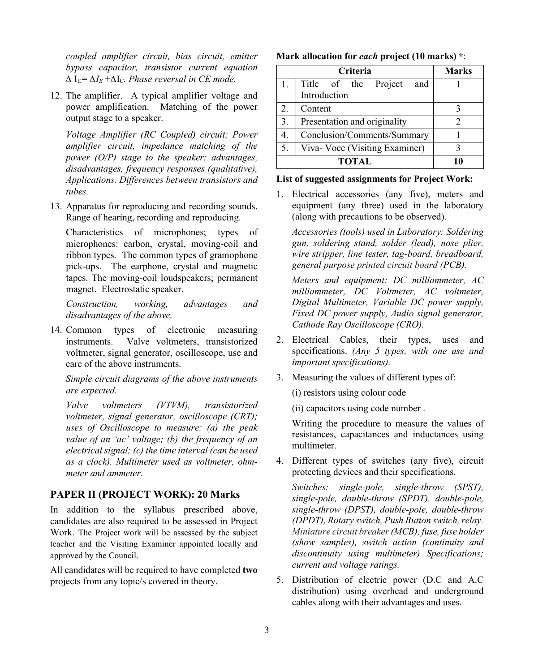*coupled amplifier circuit, bias circuit, emitter bypass capacitor, transistor current equation*   $\Delta I$ <sub>E</sub>= $\Delta I$ <sup>*B*</sup> + $\Delta I$ <sub>C</sub>*. Phase reversal in CE mode.* 

12. The amplifier. A typical amplifier voltage and power amplification. Matching of the power output stage to a speaker.

*Voltage Amplifier (RC Coupled) circuit; Power amplifier circuit, impedance matching of the power (O/P) stage to the speaker; advantages, disadvantages, frequency responses (qualitative), Applications. Differences between transistors and tubes.*

13. Apparatus for reproducing and recording sounds. Range of hearing, recording and reproducing.

Characteristics of microphones; types of microphones: carbon, crystal, moving-coil and ribbon types. The common types of gramophone pick-ups. The earphone, crystal and magnetic tapes. The moving-coil loudspeakers; permanent magnet. Electrostatic speaker.

*Construction, working, advantages and disadvantages of the above.*

14. Common types of electronic measuring instruments. Valve voltmeters, transistorized voltmeter, signal generator, oscilloscope, use and care of the above instruments.

*Simple circuit diagrams of the above instruments are expected.*

*Valve voltmeters (VTVM), transistorized voltmeter, signal generator, oscilloscope (CRT); uses of Oscilloscope to measure: (a) the peak value of an 'ac' voltage; (b) the frequency of an electrical signal; (c) the time interval (can be used as a clock). Multimeter used as voltmeter, ohmmeter and ammeter.*

### **PAPER II (PROJECT WORK): 20 Marks**

In addition to the syllabus prescribed above, candidates are also required to be assessed in Project Work. The Project work will be assessed by the subject teacher and the Visiting Examiner appointed locally and approved by the Council.

All candidates will be required to have completed **two** projects from any topic/s covered in theory.

#### **Mark allocation for** *each* **project (10 marks) \***:

|    | <b>Marks</b>                  |  |  |  |
|----|-------------------------------|--|--|--|
| 1. | Title of the Project<br>and   |  |  |  |
|    | Introduction                  |  |  |  |
| 2. | Content                       |  |  |  |
| 3. | Presentation and originality  |  |  |  |
| 4. | Conclusion/Comments/Summary   |  |  |  |
| 5. | Viva-Voce (Visiting Examiner) |  |  |  |
|    |                               |  |  |  |

#### **List of suggested assignments for Project Work:**

1. Electrical accessories (any five), meters and equipment (any three) used in the laboratory (along with precautions to be observed).

*Accessories (tools) used in Laboratory: Soldering gun, soldering stand, solder (lead), nose plier, wire stripper, line tester, tag-board, breadboard, general purpose printed circuit board (PCB).* 

*Meters and equipment: DC milliammeter, AC milliammeter, DC Voltmeter, AC voltmeter, Digital Multimeter, Variable DC power supply, Fixed DC power supply, Audio signal generator, Cathode Ray Oscilloscope (CRO).* 

- 2. Electrical Cables, their types, uses and specifications. *(Any 5 types, with one use and important specifications).*
- 3. Measuring the values of different types of:

(i) resistors using colour code

(ii) capacitors using code number .

Writing the procedure to measure the values of resistances, capacitances and inductances using multimeter.

4. Different types of switches (any five), circuit protecting devices and their specifications.

*Switches: single-pole, single-throw (SPST), single-pole, double-throw (SPDT), double-pole, single-throw (DPST), double-pole, double-throw (DPDT), Rotary switch, Push Button switch, relay. Miniature circuit breaker(MCB), fuse, fuse holder (show samples), switch action (continuity and discontinuity using multimeter) Specifications; current and voltage ratings.* 

5. Distribution of electric power (D.C and A.C distribution) using overhead and underground cables along with their advantages and uses.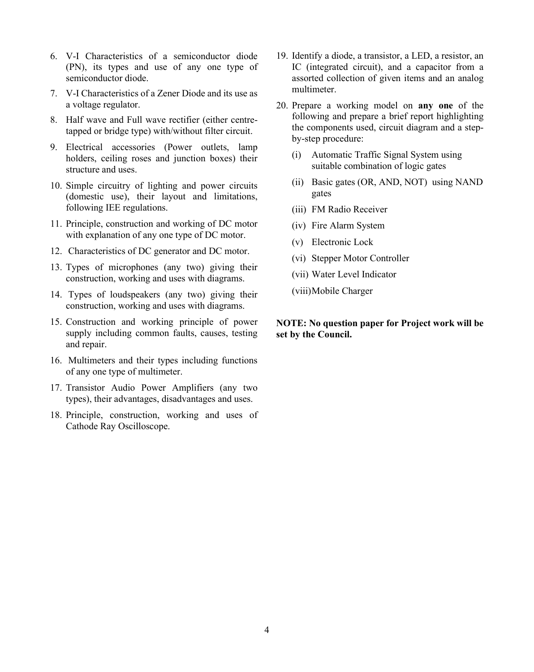- 6. V-I Characteristics of a semiconductor diode (PN), its types and use of any one type of semiconductor diode.
- 7. V-I Characteristics of a Zener Diode and its use as a voltage regulator.
- 8. Half wave and Full wave rectifier (either centretapped or bridge type) with/without filter circuit.
- 9. Electrical accessories (Power outlets, lamp holders, ceiling roses and junction boxes) their structure and uses.
- 10. Simple circuitry of lighting and power circuits (domestic use), their layout and limitations, following IEE regulations.
- 11. Principle, construction and working of DC motor with explanation of any one type of DC motor.
- 12. Characteristics of DC generator and DC motor.
- 13. Types of microphones (any two) giving their construction, working and uses with diagrams.
- 14. Types of loudspeakers (any two) giving their construction, working and uses with diagrams.
- 15. Construction and working principle of power supply including common faults, causes, testing and repair.
- 16. Multimeters and their types including functions of any one type of multimeter.
- 17. Transistor Audio Power Amplifiers (any two types), their advantages, disadvantages and uses.
- 18. Principle, construction, working and uses of Cathode Ray Oscilloscope.
- 19. Identify a diode, a transistor, a LED, a resistor, an IC (integrated circuit), and a capacitor from a assorted collection of given items and an analog multimeter.
- 20. Prepare a working model on **any one** of the following and prepare a brief report highlighting the components used, circuit diagram and a stepby-step procedure:
	- (i) Automatic Traffic Signal System using suitable combination of logic gates
	- (ii) Basic gates (OR, AND, NOT) using NAND gates
	- (iii) FM Radio Receiver
	- (iv) Fire Alarm System
	- (v) Electronic Lock
	- (vi) Stepper Motor Controller
	- (vii) Water Level Indicator
	- (viii)Mobile Charger

### **NOTE: No question paper for Project work will be set by the Council.**